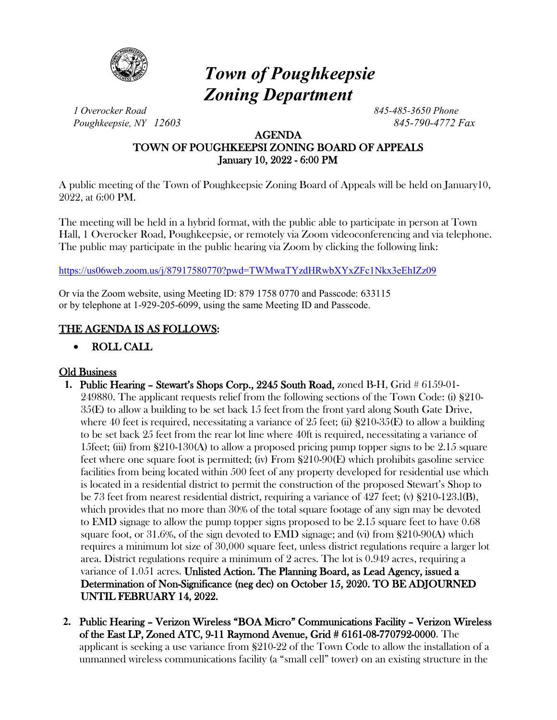

# *Town of Poughkeepsie Zoning Department*

*1 Overocker Road 845-485-3650 Phone Poughkeepsie, NY 12603 845-790-4772 Fax*

## AGENDA TOWN OF POUGHKEEPSI ZONING BOARD OF APPEALS January 10, 2022 - 6:00 PM

A public meeting of the Town of Poughkeepsie Zoning Board of Appeals will be held on January10, 2022, at 6:00 PM.

The meeting will be held in a hybrid format, with the public able to participate in person at Town Hall, 1 Overocker Road, Poughkeepsie, or remotely via Zoom videoconferencing and via telephone. The public may participate in the public hearing via Zoom by clicking the following link:

<https://us06web.zoom.us/j/87917580770?pwd=TWMwaTYzdHRwbXYxZFc1Nkx3eEhIZz09>

Or via the Zoom website, using Meeting ID: 879 1758 0770 and Passcode: 633115 or by telephone at 1-929-205-6099, using the same Meeting ID and Passcode.

## THE AGENDA IS AS FOLLOWS:

## • ROLL CALL

## Old Business

- **1.** Public Hearing Stewart's Shops Corp., 2245 South Road, zoned B-H, Grid # 6159-01- 249880. The applicant requests relief from the following sections of the Town Code: (i) §210- 35(E) to allow a building to be set back 15 feet from the front yard along South Gate Drive, where 40 feet is required, necessitating a variance of 25 feet; (ii)  $\S210-35(E)$  to allow a building to be set back 25 feet from the rear lot line where 40ft is required, necessitating a variance of 15feet; (iii) from  $\S 210-130(A)$  to allow a proposed pricing pump topper signs to be 2.15 square feet where one square foot is permitted; (iv) From §210-90(E) which prohibits gasoline service facilities from being located within 500 feet of any property developed for residential use which is located in a residential district to permit the construction of the proposed Stewart's Shop to be 73 feet from nearest residential district, requiring a variance of 427 feet; (v) §210-123.l(B), which provides that no more than 30% of the total square footage of any sign may be devoted to EMD signage to allow the pump topper signs proposed to be 2.15 square feet to have 0.68 square foot, or 31.6%, of the sign devoted to EMD signage; and (vi) from §210-90(A) which requires a minimum lot size of 30,000 square feet, unless district regulations require a larger lot area. District regulations require a minimum of 2 acres. The lot is 0.949 acres, requiring a variance of 1.051 acres. Unlisted Action. The Planning Board, as Lead Agency, issued a Determination of Non-Significance (neg dec) on October 15, 2020. TO BE ADJOURNED UNTIL FEBRUARY 14, 2022.
- **2.** Public Hearing Verizon Wireless "BOA Micro" Communications Facility Verizon Wireless of the East LP, Zoned ATC, 9-11 Raymond Avenue, Grid # 6161-08-770792-0000. The applicant is seeking a use variance from §210-22 of the Town Code to allow the installation of a unmanned wireless communications facility (a "small cell" tower) on an existing structure in the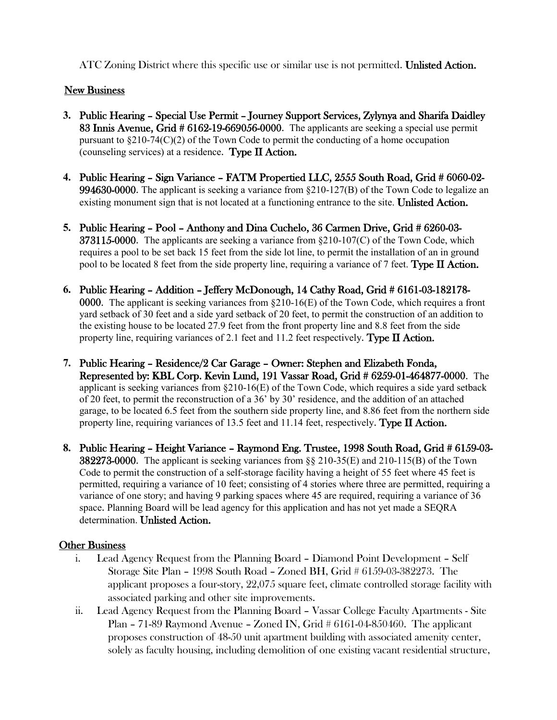ATC Zoning District where this specific use or similar use is not permitted. Unlisted Action.

## **New Business**

- **3.** Public Hearing Special Use Permit Journey Support Services, Zylynya and Sharifa Daidley 83 Innis Avenue, Grid # 6162-19-669056-0000. The applicants are seeking a special use permit pursuant to §210-74(C)(2) of the Town Code to permit the conducting of a home occupation (counseling services) at a residence. Type II Action.
- **4.** Public Hearing Sign Variance FATM Propertied LLC, 2555 South Road, Grid # 6060-02- 994630-0000. The applicant is seeking a variance from §210-127(B) of the Town Code to legalize an existing monument sign that is not located at a functioning entrance to the site. Unlisted Action.
- **5.** Public Hearing Pool Anthony and Dina Cuchelo, 36 Carmen Drive, Grid # 6260-03-  $373115-0000$ . The applicants are seeking a variance from  $\S210-107(C)$  of the Town Code, which requires a pool to be set back 15 feet from the side lot line, to permit the installation of an in ground pool to be located 8 feet from the side property line, requiring a variance of 7 feet. Type  $\mathbf I$  Action.
- **6.** Public Hearing Addition Jeffery McDonough, 14 Cathy Road, Grid # 6161-03-182178- 0000. The applicant is seeking variances from  $\S210-16(E)$  of the Town Code, which requires a front yard setback of 30 feet and a side yard setback of 20 feet, to permit the construction of an addition to the existing house to be located 27.9 feet from the front property line and 8.8 feet from the side property line, requiring variances of 2.1 feet and 11.2 feet respectively. **Type II Action.**
- **7.** Public Hearing Residence/2 Car Garage Owner: Stephen and Elizabeth Fonda, Represented by: KBL Corp. Kevin Lund, 191 Vassar Road, Grid # 6259-01-464877-0000. The applicant is seeking variances from  $\S210-16(E)$  of the Town Code, which requires a side yard setback of 20 feet, to permit the reconstruction of a 36' by 30' residence, and the addition of an attached garage, to be located 6.5 feet from the southern side property line, and 8.86 feet from the northern side property line, requiring variances of 13.5 feet and 11.14 feet, respectively. Type II Action.
- **8.** Public Hearing Height Variance Raymond Eng. Trustee, 1998 South Road, Grid # 6159-03- 382273-0000. The applicant is seeking variances from §§ 210-35(E) and 210-115(B) of the Town Code to permit the construction of a self-storage facility having a height of 55 feet where 45 feet is permitted, requiring a variance of 10 feet; consisting of 4 stories where three are permitted, requiring a variance of one story; and having 9 parking spaces where 45 are required, requiring a variance of 36 space. Planning Board will be lead agency for this application and has not yet made a SEQRA determination. Unlisted Action.

## Other Business

- i. Lead Agency Request from the Planning Board Diamond Point Development Self Storage Site Plan – 1998 South Road – Zoned BH, Grid # 6159-03-382273. The applicant proposes a four-story, 22,075 square feet, climate controlled storage facility with associated parking and other site improvements.
- ii. Lead Agency Request from the Planning Board Vassar College Faculty Apartments Site Plan – 71-89 Raymond Avenue – Zoned IN, Grid # 6161-04-850460. The applicant proposes construction of 48-50 unit apartment building with associated amenity center, solely as faculty housing, including demolition of one existing vacant residential structure,